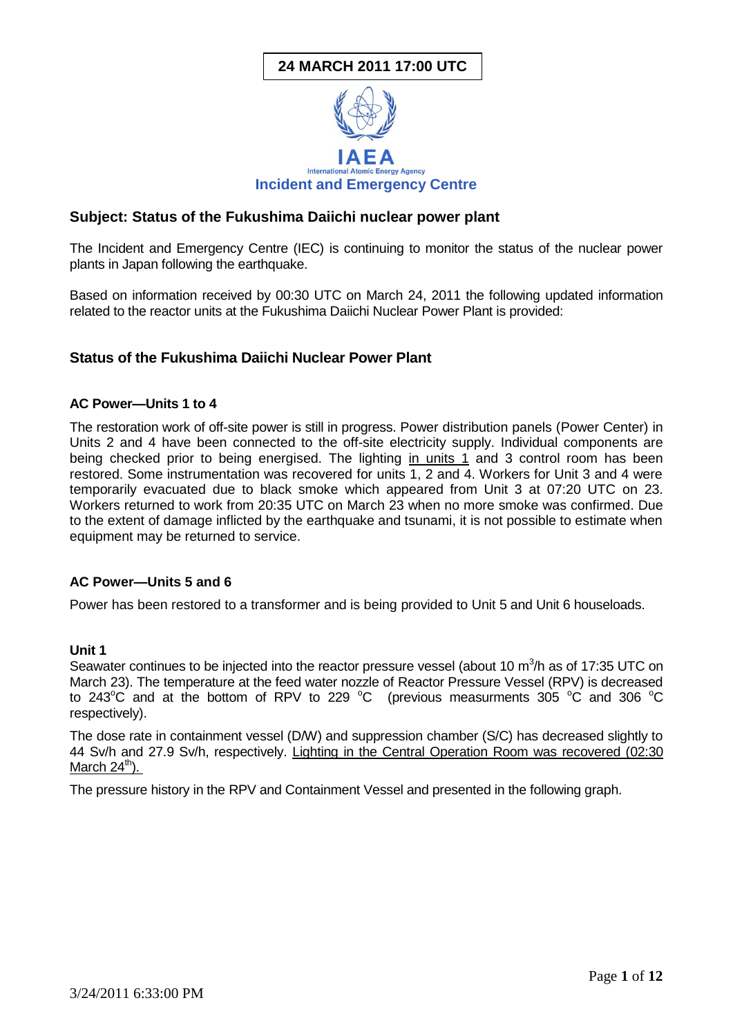# **24 MARCH 2011 17:00 UTC**



# **Subject: Status of the Fukushima Daiichi nuclear power plant**

The Incident and Emergency Centre (IEC) is continuing to monitor the status of the nuclear power plants in Japan following the earthquake.

Based on information received by 00:30 UTC on March 24, 2011 the following updated information related to the reactor units at the Fukushima Daiichi Nuclear Power Plant is provided:

# **Status of the Fukushima Daiichi Nuclear Power Plant**

### **AC Power—Units 1 to 4**

The restoration work of off-site power is still in progress. Power distribution panels (Power Center) in Units 2 and 4 have been connected to the off-site electricity supply. Individual components are being checked prior to being energised. The lighting in units 1 and 3 control room has been restored. Some instrumentation was recovered for units 1, 2 and 4. Workers for Unit 3 and 4 were temporarily evacuated due to black smoke which appeared from Unit 3 at 07:20 UTC on 23. Workers returned to work from 20:35 UTC on March 23 when no more smoke was confirmed. Due to the extent of damage inflicted by the earthquake and tsunami, it is not possible to estimate when equipment may be returned to service.

### **AC Power—Units 5 and 6**

Power has been restored to a transformer and is being provided to Unit 5 and Unit 6 houseloads.

### **Unit 1**

Seawater continues to be injected into the reactor pressure vessel (about 10  $m^3/h$  as of 17:35 UTC on March 23). The temperature at the feed water nozzle of Reactor Pressure Vessel (RPV) is decreased to 243 $^{\circ}$ C and at the bottom of RPV to 229  $^{\circ}$ C (previous measurments 305  $^{\circ}$ C and 306  $^{\circ}$ C respectively).

The dose rate in containment vessel (D/W) and suppression chamber (S/C) has decreased slightly to 44 Sv/h and 27.9 Sv/h, respectively. Lighting in the Central Operation Room was recovered (02:30 March  $24^{\text{th}}$ ).

The pressure history in the RPV and Containment Vessel and presented in the following graph.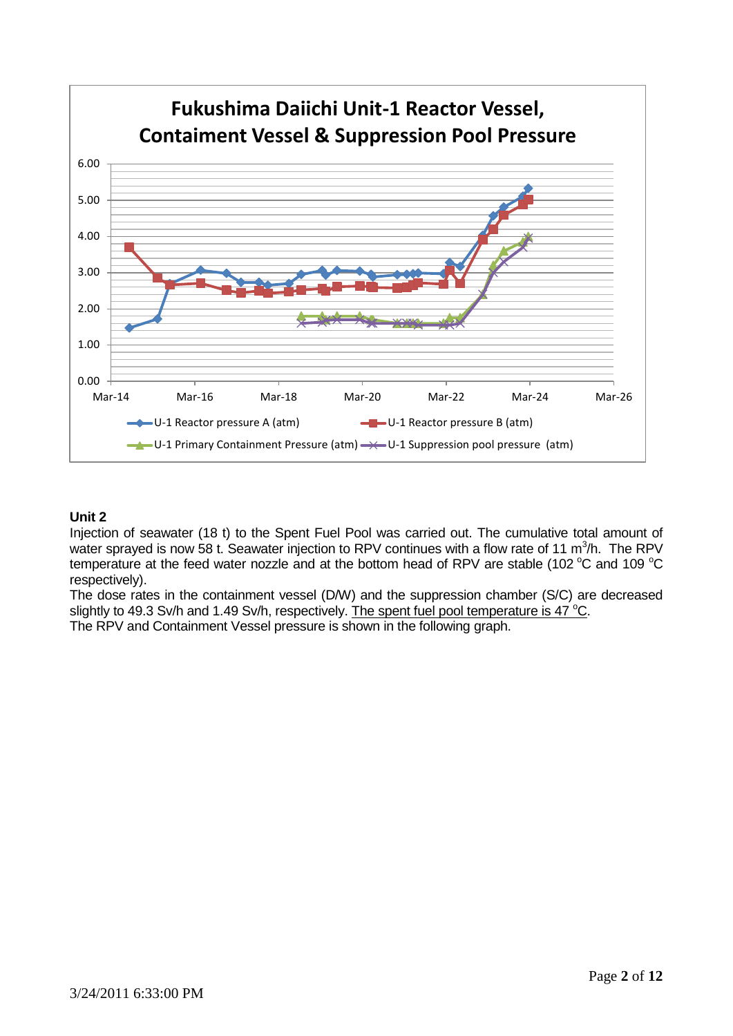

# **Unit 2**

Injection of seawater (18 t) to the Spent Fuel Pool was carried out. The cumulative total amount of water sprayed is now 58 t. Seawater injection to RPV continues with a flow rate of 11  $m^3/h$ . The RPV temperature at the feed water nozzle and at the bottom head of RPV are stable (102  $^{\circ}$ C and 109  $^{\circ}$ C respectively).

The dose rates in the containment vessel (D/W) and the suppression chamber (S/C) are decreased slightly to 49.3 Sv/h and 1.49 Sv/h, respectively. The spent fuel pool temperature is 47  $^{\circ}$ C.

The RPV and Containment Vessel pressure is shown in the following graph.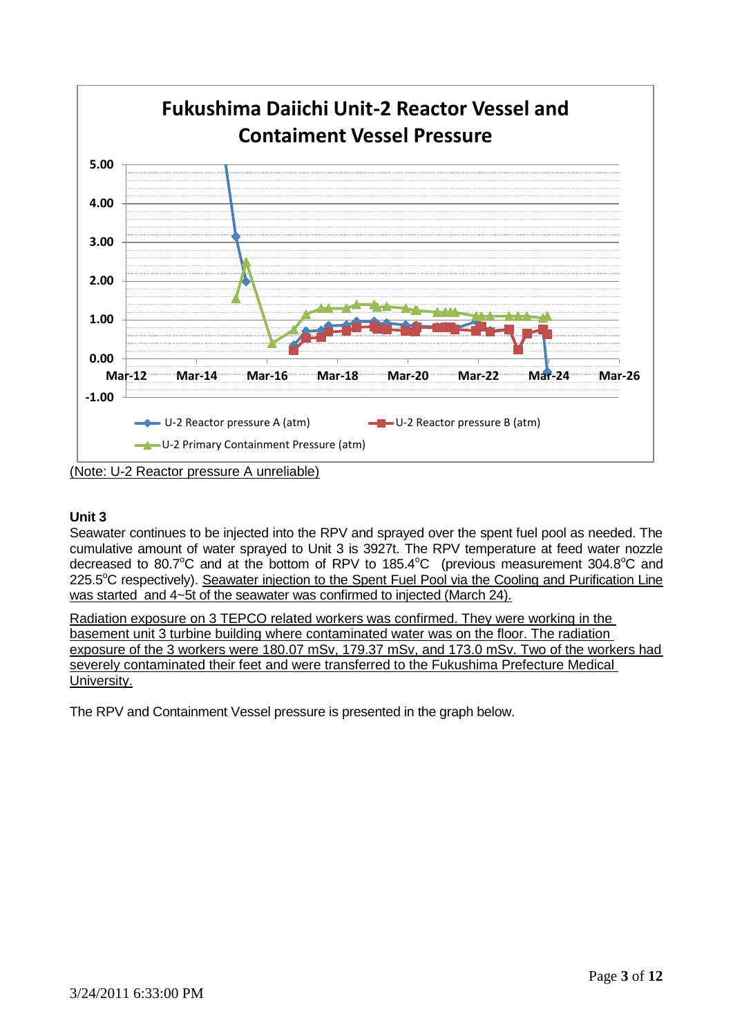

(Note: U-2 Reactor pressure A unreliable)

# **Unit 3**

Seawater continues to be injected into the RPV and sprayed over the spent fuel pool as needed. The cumulative amount of water sprayed to Unit 3 is 3927t. The RPV temperature at feed water nozzle decreased to 80.7 $^{\circ}$ C and at the bottom of RPV to 185.4 $^{\circ}$ C (previous measurement 304.8 $^{\circ}$ C and 225.5°C respectively). Seawater injection to the Spent Fuel Pool via the Cooling and Purification Line was started and 4~5t of the seawater was confirmed to injected (March 24).

Radiation exposure on 3 TEPCO related workers was confirmed. They were working in the basement unit 3 turbine building where contaminated water was on the floor. The radiation exposure of the 3 workers were 180.07 mSv, 179.37 mSv, and 173.0 mSv. Two of the workers had severely contaminated their feet and were transferred to the Fukushima Prefecture Medical University.

The RPV and Containment Vessel pressure is presented in the graph below.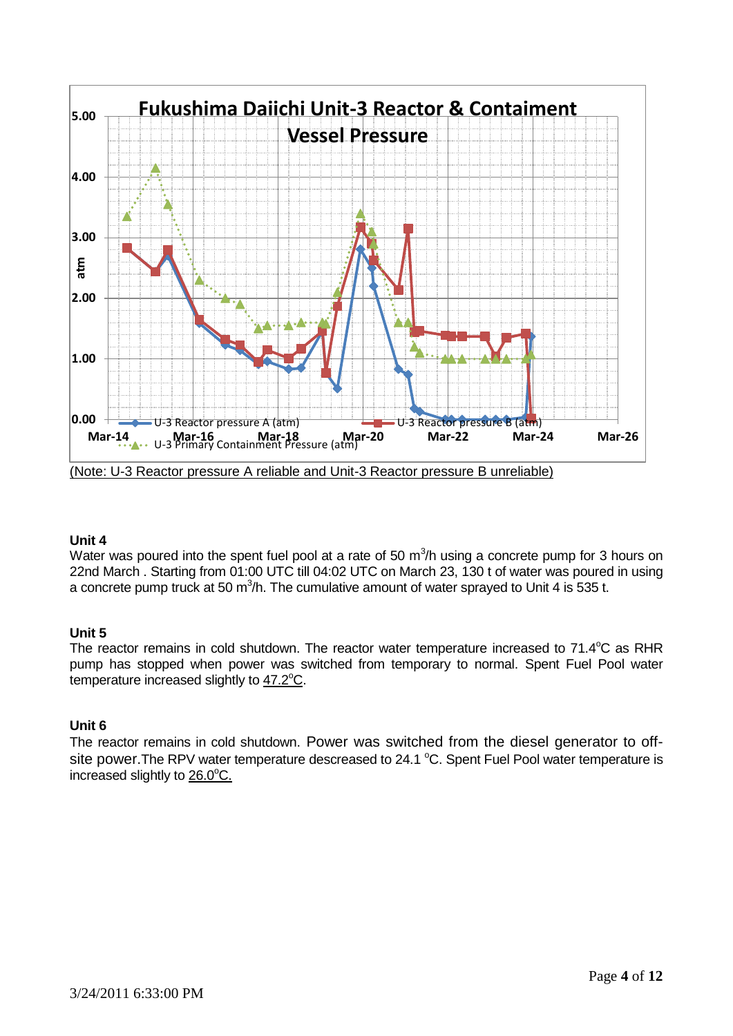

# **Unit 4**

Water was poured into the spent fuel pool at a rate of 50  $m^3/n$  using a concrete pump for 3 hours on 22nd March . Starting from 01:00 UTC till 04:02 UTC on March 23, 130 t of water was poured in using a concrete pump truck at 50 m<sup>3</sup>/h. The cumulative amount of water sprayed to Unit 4 is 535 t.

# **Unit 5**

The reactor remains in cold shutdown. The reactor water temperature increased to 71.4°C as RHR pump has stopped when power was switched from temporary to normal. Spent Fuel Pool water temperature increased slightly to 47.2°C.

# **Unit 6**

The reactor remains in cold shutdown. Power was switched from the diesel generator to offsite power. The RPV water temperature descreased to 24.1 °C. Spent Fuel Pool water temperature is  $increased$  slightly to  $26.0^{\circ}$ C.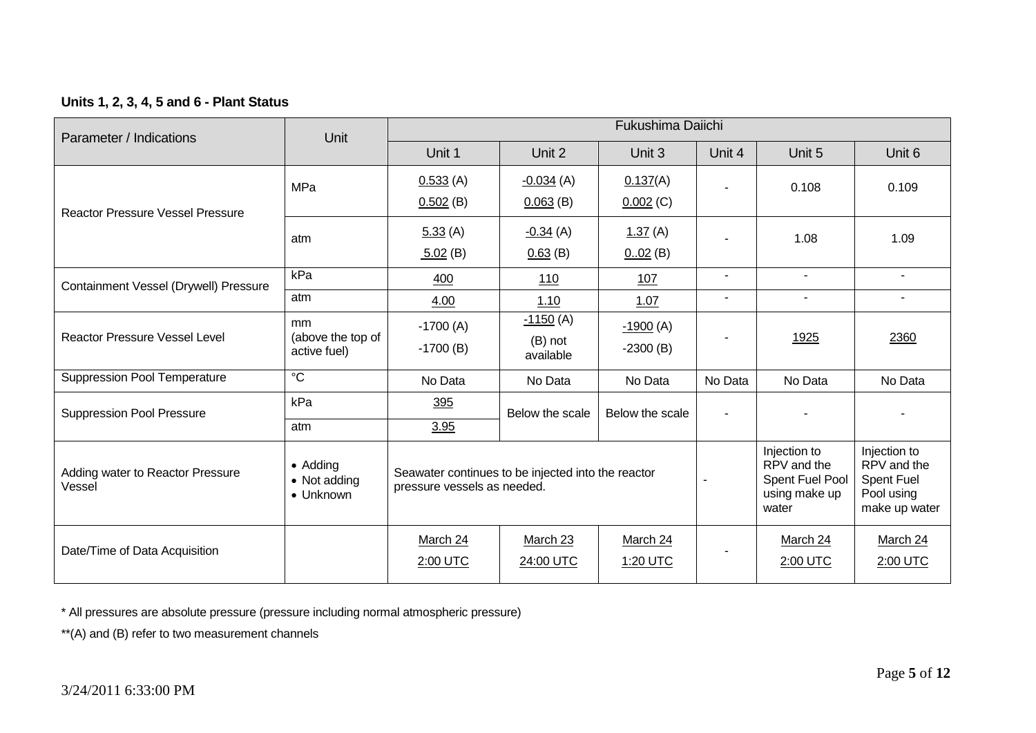# **Units 1, 2, 3, 4, 5 and 6 - Plant Status**

| Parameter / Indications                    | Unit                                               | Fukushima Daiichi                                                                 |                                      |                                                                          |                                                                                 |                      |                      |  |  |
|--------------------------------------------|----------------------------------------------------|-----------------------------------------------------------------------------------|--------------------------------------|--------------------------------------------------------------------------|---------------------------------------------------------------------------------|----------------------|----------------------|--|--|
|                                            |                                                    | Unit 1                                                                            | Unit 2                               | Unit 3                                                                   | Unit 4                                                                          | Unit 5               | Unit 6               |  |  |
| <b>Reactor Pressure Vessel Pressure</b>    | <b>MPa</b>                                         | 0.533(A)<br>$0.502$ (B)                                                           | $-0.034(A)$<br>$0.063$ (B)           | 0.137(A)<br>$0.002$ (C)                                                  |                                                                                 | 0.108                | 0.109                |  |  |
|                                            | atm                                                | 5.33(A)<br>5.02(B)                                                                | $-0.34(A)$<br>0.63(B)                | 1.37(A)<br>$002$ (B)                                                     |                                                                                 | 1.08                 | 1.09                 |  |  |
| Containment Vessel (Drywell) Pressure      | kPa                                                | 400                                                                               | 110                                  | 107                                                                      | $\sim$                                                                          | $\blacksquare$       | $\sim$               |  |  |
|                                            | atm                                                | 4.00                                                                              | 1.10                                 | 1.07                                                                     |                                                                                 |                      |                      |  |  |
| <b>Reactor Pressure Vessel Level</b>       | <sub>mm</sub><br>(above the top of<br>active fuel) | $-1700(A)$<br>$-1700$ (B)                                                         | $-1150(A)$<br>$(B)$ not<br>available | $-1900(A)$<br>$-2300(B)$                                                 |                                                                                 | 1925                 | 2360                 |  |  |
| <b>Suppression Pool Temperature</b>        | $\overline{\text{c}}$                              | No Data                                                                           | No Data                              | No Data                                                                  | No Data                                                                         | No Data              | No Data              |  |  |
| <b>Suppression Pool Pressure</b>           | kPa<br>atm                                         | 395<br>3.95                                                                       | Below the scale                      | Below the scale                                                          |                                                                                 |                      |                      |  |  |
| Adding water to Reactor Pressure<br>Vessel | • Adding<br>• Not adding<br>• Unknown              | Seawater continues to be injected into the reactor<br>pressure vessels as needed. |                                      | Injection to<br>RPV and the<br>Spent Fuel Pool<br>using make up<br>water | Injection to<br>RPV and the<br><b>Spent Fuel</b><br>Pool using<br>make up water |                      |                      |  |  |
| Date/Time of Data Acquisition              |                                                    | March 24<br>2:00 UTC                                                              | March 23<br>24:00 UTC                | March 24<br>1:20 UTC                                                     |                                                                                 | March 24<br>2:00 UTC | March 24<br>2:00 UTC |  |  |

\* All pressures are absolute pressure (pressure including normal atmospheric pressure)

\*\*(A) and (B) refer to two measurement channels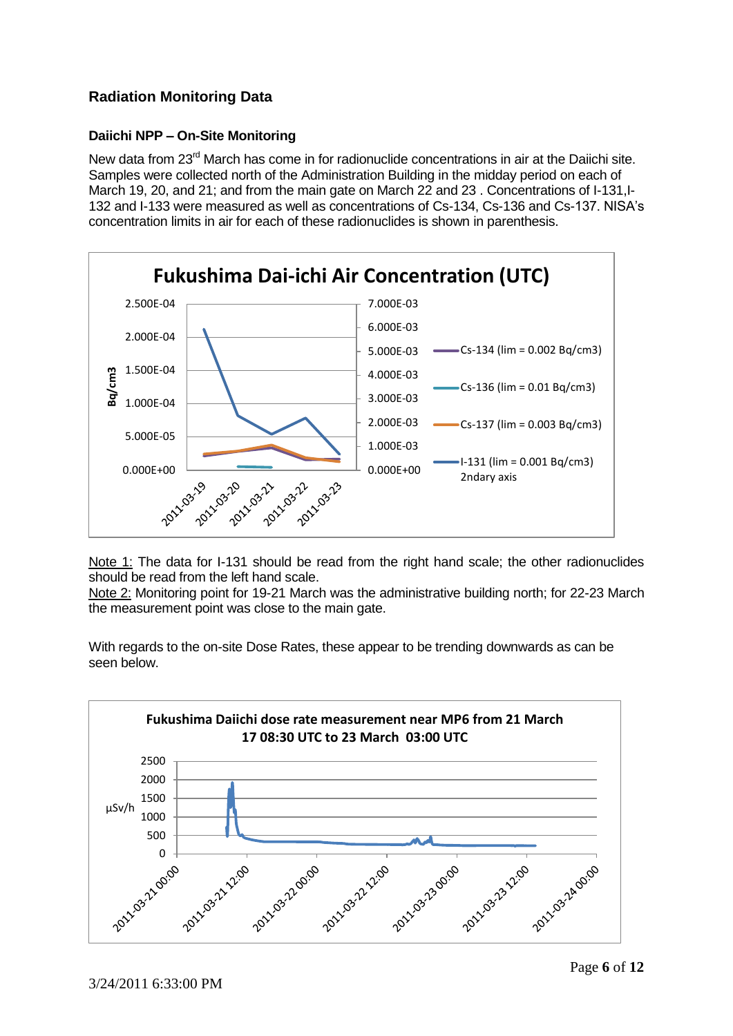# **Radiation Monitoring Data**

# **Daiichi NPP – On-Site Monitoring**

New data from 23<sup>rd</sup> March has come in for radionuclide concentrations in air at the Daiichi site. Samples were collected north of the Administration Building in the midday period on each of March 19, 20, and 21; and from the main gate on March 22 and 23. Concentrations of I-131, I-132 and I-133 were measured as well as concentrations of Cs-134, Cs-136 and Cs-137. NISA's concentration limits in air for each of these radionuclides is shown in parenthesis.



Note 1: The data for I-131 should be read from the right hand scale; the other radionuclides should be read from the left hand scale.

Note 2: Monitoring point for 19-21 March was the administrative building north; for 22-23 March the measurement point was close to the main gate.

With regards to the on-site Dose Rates, these appear to be trending downwards as can be seen below.

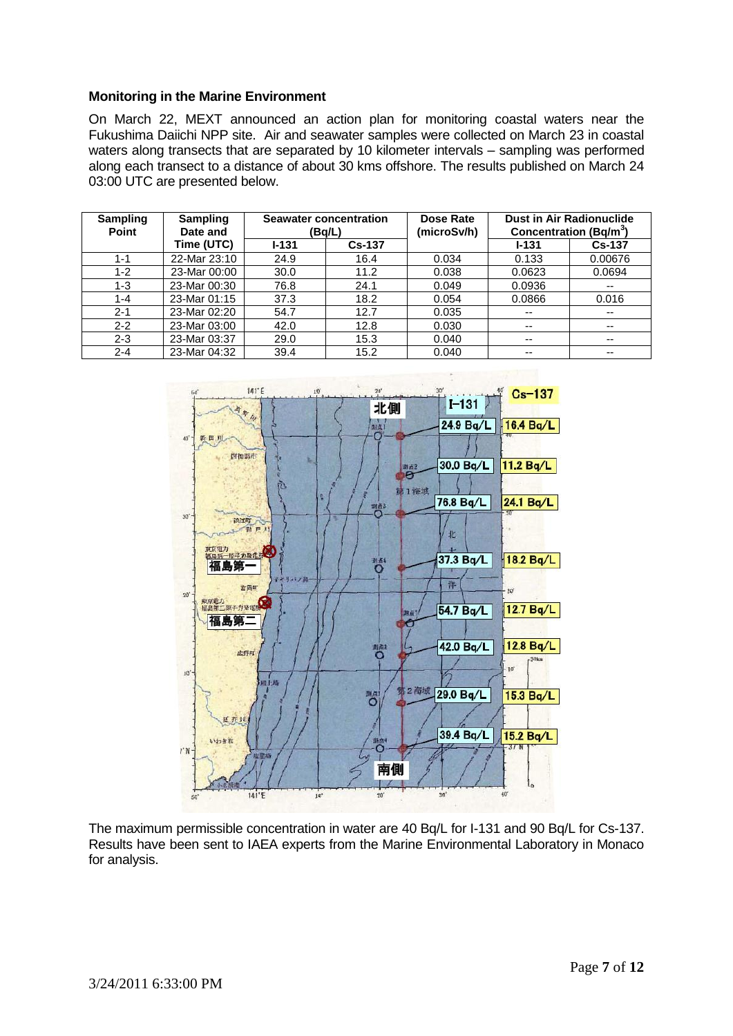### **Monitoring in the Marine Environment**

On March 22, MEXT announced an action plan for monitoring coastal waters near the Fukushima Daiichi NPP site. Air and seawater samples were collected on March 23 in coastal waters along transects that are separated by 10 kilometer intervals – sampling was performed along each transect to a distance of about 30 kms offshore. The results published on March 24 03:00 UTC are presented below.

| <b>Sampling</b><br><b>Point</b> | <b>Sampling</b><br>Date and | <b>Seawater concentration</b><br>(Bq/L) |      | Dose Rate<br>(microSv/h) |                          | <b>Dust in Air Radionuclide</b><br>Concentration (Bq/m <sup>3</sup> ) |
|---------------------------------|-----------------------------|-----------------------------------------|------|--------------------------|--------------------------|-----------------------------------------------------------------------|
|                                 | Time (UTC)                  | <b>Cs-137</b><br>$I - 131$              |      |                          | $1 - 131$                | <b>Cs-137</b>                                                         |
| $1 - 1$                         | 22-Mar 23:10                | 24.9                                    | 16.4 | 0.034                    | 0.133                    | 0.00676                                                               |
| $1 - 2$                         | 23-Mar 00:00                | 30.0                                    | 11.2 | 0.038                    | 0.0623                   | 0.0694                                                                |
| $1 - 3$                         | 23-Mar 00:30                | 76.8                                    | 24.1 | 0.049                    | 0.0936                   | $- -$                                                                 |
| $1 - 4$                         | 23-Mar 01:15                | 37.3                                    | 18.2 | 0.054                    | 0.0866                   | 0.016                                                                 |
| $2 - 1$                         | 23-Mar 02:20                | 54.7                                    | 12.7 | 0.035                    | $- -$                    | $- -$                                                                 |
| $2 - 2$                         | 23-Mar 03:00                | 42.0                                    | 12.8 | 0.030                    | $\overline{\phantom{a}}$ | $- -$                                                                 |
| $2 - 3$                         | 23-Mar 03:37                | 29.0                                    | 15.3 | 0.040                    | $- -$                    | $\sim$ $\sim$                                                         |
| $2 - 4$                         | 23-Mar 04:32                | 39.4                                    | 15.2 | 0.040                    | $- -$                    | $- -$                                                                 |



The maximum permissible concentration in water are 40 Bq/L for I-131 and 90 Bq/L for Cs-137. Results have been sent to IAEA experts from the Marine Environmental Laboratory in Monaco for analysis.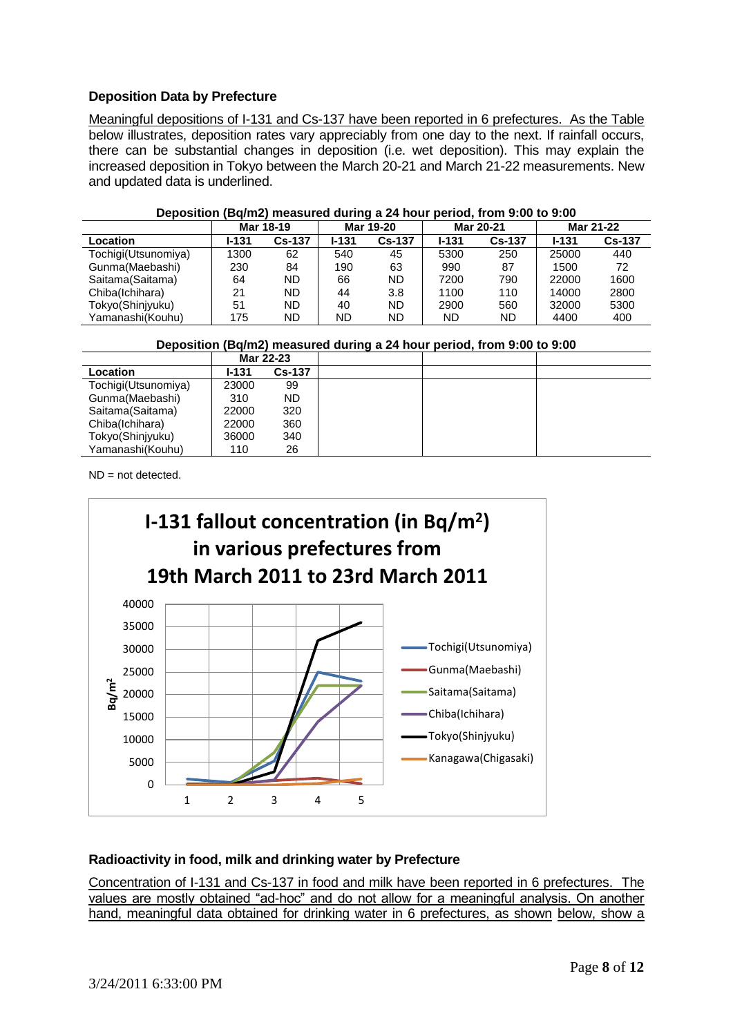# **Deposition Data by Prefecture**

Meaningful depositions of I-131 and Cs-137 have been reported in 6 prefectures. As the Table below illustrates, deposition rates vary appreciably from one day to the next. If rainfall occurs, there can be substantial changes in deposition (i.e. wet deposition). This may explain the increased deposition in Tokyo between the March 20-21 and March 21-22 measurements. New and updated data is underlined.

| ---------<br>------ |           |               |           |               |           |               |           |               |  |  |
|---------------------|-----------|---------------|-----------|---------------|-----------|---------------|-----------|---------------|--|--|
|                     | Mar 18-19 |               | Mar 19-20 |               | Mar 20-21 |               | Mar 21-22 |               |  |  |
| Location            | l-131     | <b>Cs-137</b> | $1 - 131$ | <b>Cs-137</b> | $1 - 131$ | <b>Cs-137</b> | $1 - 131$ | <b>Cs-137</b> |  |  |
| Tochigi(Utsunomiya) | 1300      | 62            | 540       | 45            | 5300      | 250           | 25000     | 440           |  |  |
| Gunma(Maebashi)     | 230       | 84            | 190       | 63            | 990       | 87            | 1500      | 72            |  |  |
| Saitama(Saitama)    | 64        | ND            | 66        | <b>ND</b>     | 7200      | 790           | 22000     | 1600          |  |  |
| Chiba(Ichihara)     | 21        | ND.           | 44        | 3.8           | 1100      | 110           | 14000     | 2800          |  |  |
| Tokyo(Shinjyuku)    | 51        | ND.           | 40        | ND            | 2900      | 560           | 32000     | 5300          |  |  |
| Yamanashi(Kouhu)    | 175       | ND.           | ND        | ND            | ND        | ND            | 4400      | 400           |  |  |
|                     |           |               |           |               |           |               |           |               |  |  |

#### **Deposition (Bq/m2) measured during a 24 hour period, from 9:00 to 9:00**

**Deposition (Bq/m2) measured during a 24 hour period, from 9:00 to 9:00**

|                     | Mar 22-23    |               |  |  |
|---------------------|--------------|---------------|--|--|
| Location            | <b>I-131</b> | <b>Cs-137</b> |  |  |
| Tochigi(Utsunomiya) | 23000        | 99            |  |  |
| Gunma(Maebashi)     | 310          | ND.           |  |  |
| Saitama(Saitama)    | 22000        | 320           |  |  |
| Chiba(Ichihara)     | 22000        | 360           |  |  |
| Tokyo(Shinjyuku)    | 36000        | 340           |  |  |
| Yamanashi(Kouhu)    | 110          | 26            |  |  |

 $ND = not detected$ .



# **Radioactivity in food, milk and drinking water by Prefecture**

Concentration of I-131 and Cs-137 in food and milk have been reported in 6 prefectures. The values are mostly obtained "ad-hoc" and do not allow for a meaningful analysis. On another hand, meaningful data obtained for drinking water in 6 prefectures, as shown below, show a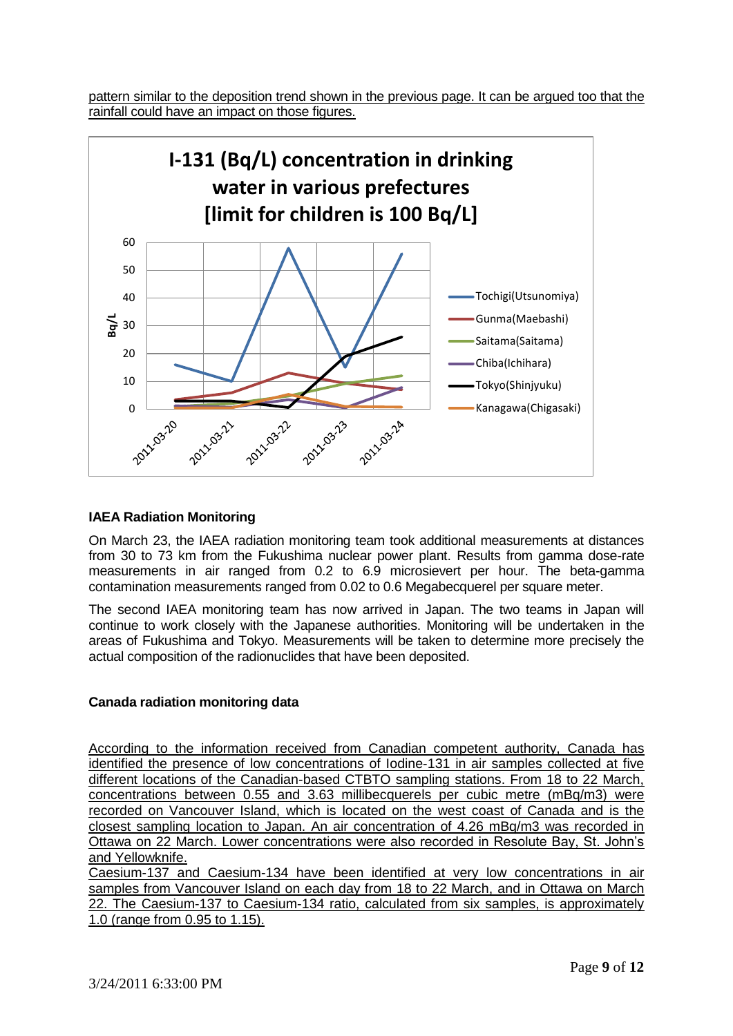pattern similar to the deposition trend shown in the previous page. It can be argued too that the rainfall could have an impact on those figures.



### **IAEA Radiation Monitoring**

On March 23, the IAEA radiation monitoring team took additional measurements at distances from 30 to 73 km from the Fukushima nuclear power plant. Results from gamma dose-rate measurements in air ranged from 0.2 to 6.9 microsievert per hour. The beta-gamma contamination measurements ranged from 0.02 to 0.6 Megabecquerel per square meter.

The second IAEA monitoring team has now arrived in Japan. The two teams in Japan will continue to work closely with the Japanese authorities. Monitoring will be undertaken in the areas of Fukushima and Tokyo. Measurements will be taken to determine more precisely the actual composition of the radionuclides that have been deposited.

### **Canada radiation monitoring data**

According to the information received from Canadian competent authority, Canada has identified the presence of low concentrations of Iodine-131 in air samples collected at five different locations of the Canadian-based CTBTO sampling stations. From 18 to 22 March, concentrations between 0.55 and 3.63 millibecquerels per cubic metre (mBq/m3) were recorded on Vancouver Island, which is located on the west coast of Canada and is the closest sampling location to Japan. An air concentration of 4.26 mBq/m3 was recorded in Ottawa on 22 March. Lower concentrations were also recorded in Resolute Bay, St. John's and Yellowknife.

Caesium-137 and Caesium-134 have been identified at very low concentrations in air samples from Vancouver Island on each day from 18 to 22 March, and in Ottawa on March 22. The Caesium-137 to Caesium-134 ratio, calculated from six samples, is approximately 1.0 (range from 0.95 to 1.15).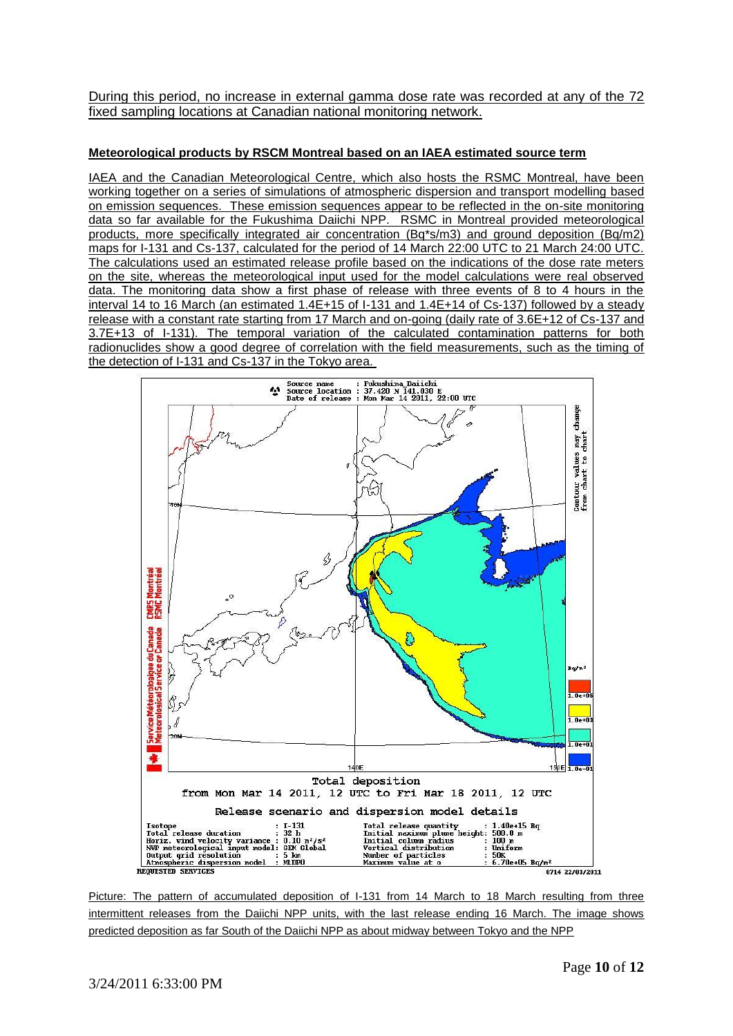During this period, no increase in external gamma dose rate was recorded at any of the 72 fixed sampling locations at Canadian national monitoring network.

#### **Meteorological products by RSCM Montreal based on an IAEA estimated source term**

IAEA and the Canadian Meteorological Centre, which also hosts the RSMC Montreal, have been working together on a series of simulations of atmospheric dispersion and transport modelling based on emission sequences. These emission sequences appear to be reflected in the on-site monitoring data so far available for the Fukushima Daiichi NPP. RSMC in Montreal provided meteorological products, more specifically integrated air concentration (Bq\*s/m3) and ground deposition (Bq/m2) maps for I-131 and Cs-137, calculated for the period of 14 March 22:00 UTC to 21 March 24:00 UTC. The calculations used an estimated release profile based on the indications of the dose rate meters on the site, whereas the meteorological input used for the model calculations were real observed data. The monitoring data show a first phase of release with three events of 8 to 4 hours in the interval 14 to 16 March (an estimated 1.4E+15 of I-131 and 1.4E+14 of Cs-137) followed by a steady release with a constant rate starting from 17 March and on-going (daily rate of 3.6E+12 of Cs-137 and 3.7E+13 of I-131). The temporal variation of the calculated contamination patterns for both radionuclides show a good degree of correlation with the field measurements, such as the timing of the detection of I-131 and Cs-137 in the Tokyo area.



Picture: The pattern of accumulated deposition of I-131 from 14 March to 18 March resulting from three intermittent releases from the Daiichi NPP units, with the last release ending 16 March. The image shows predicted deposition as far South of the Daiichi NPP as about midway between Tokyo and the NPP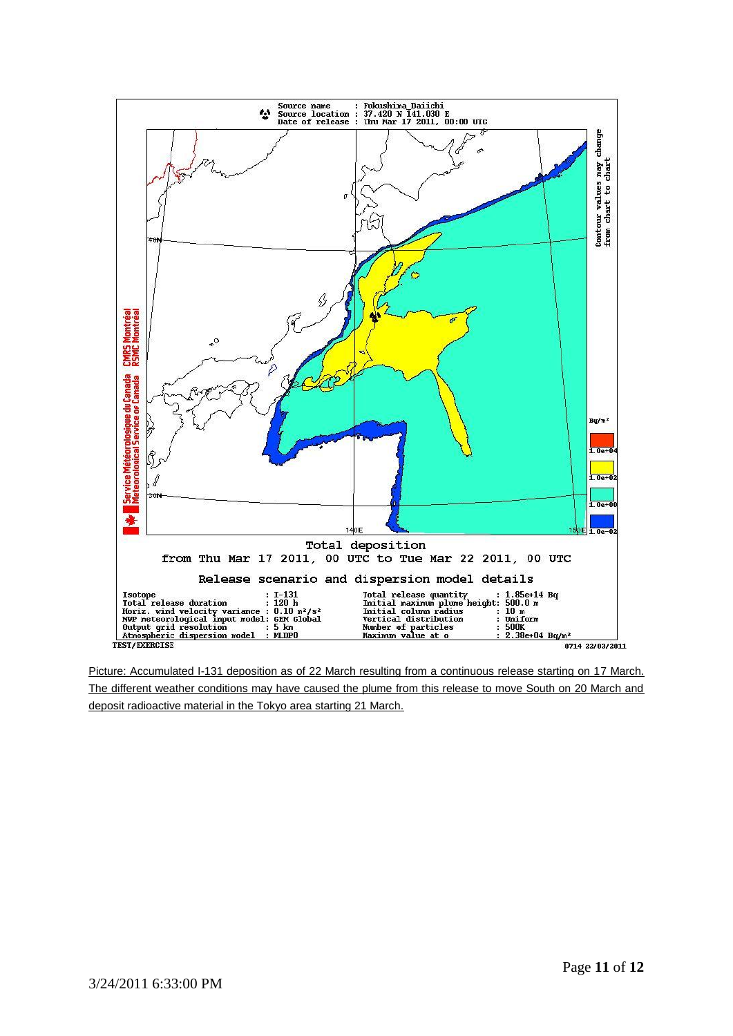

Picture: Accumulated I-131 deposition as of 22 March resulting from a continuous release starting on 17 March. The different weather conditions may have caused the plume from this release to move South on 20 March and deposit radioactive material in the Tokyo area starting 21 March.